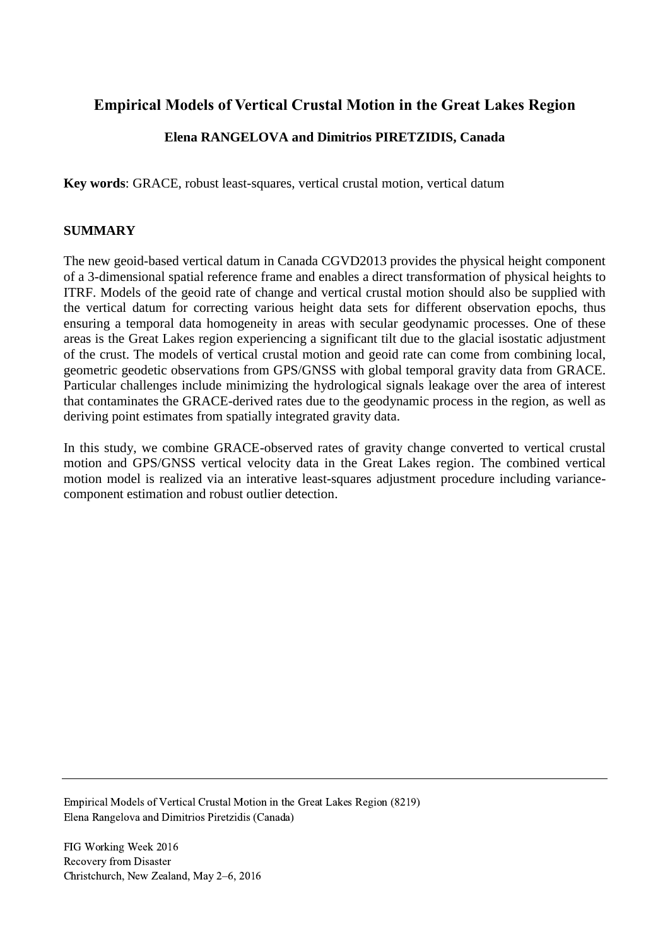# **Empirical Models of Vertical Crustal Motion in the Great Lakes Region**

## **Elena RANGELOVA and Dimitrios PIRETZIDIS, Canada**

**Key words**: GRACE, robust least-squares, vertical crustal motion, vertical datum

### **SUMMARY**

The new geoid-based vertical datum in Canada CGVD2013 provides the physical height component of a 3-dimensional spatial reference frame and enables a direct transformation of physical heights to ITRF. Models of the geoid rate of change and vertical crustal motion should also be supplied with the vertical datum for correcting various height data sets for different observation epochs, thus ensuring a temporal data homogeneity in areas with secular geodynamic processes. One of these areas is the Great Lakes region experiencing a significant tilt due to the glacial isostatic adjustment of the crust. The models of vertical crustal motion and geoid rate can come from combining local, geometric geodetic observations from GPS/GNSS with global temporal gravity data from GRACE. Particular challenges include minimizing the hydrological signals leakage over the area of interest that contaminates the GRACE-derived rates due to the geodynamic process in the region, as well as deriving point estimates from spatially integrated gravity data.

In this study, we combine GRACE-observed rates of gravity change converted to vertical crustal motion and GPS/GNSS vertical velocity data in the Great Lakes region. The combined vertical motion model is realized via an interative least-squares adjustment procedure including variancecomponent estimation and robust outlier detection.

Empirical Models of Vertical Crustal Motion in the Great Lakes Region (8219) Elena Rangelova and Dimitrios Piretzidis (Canada)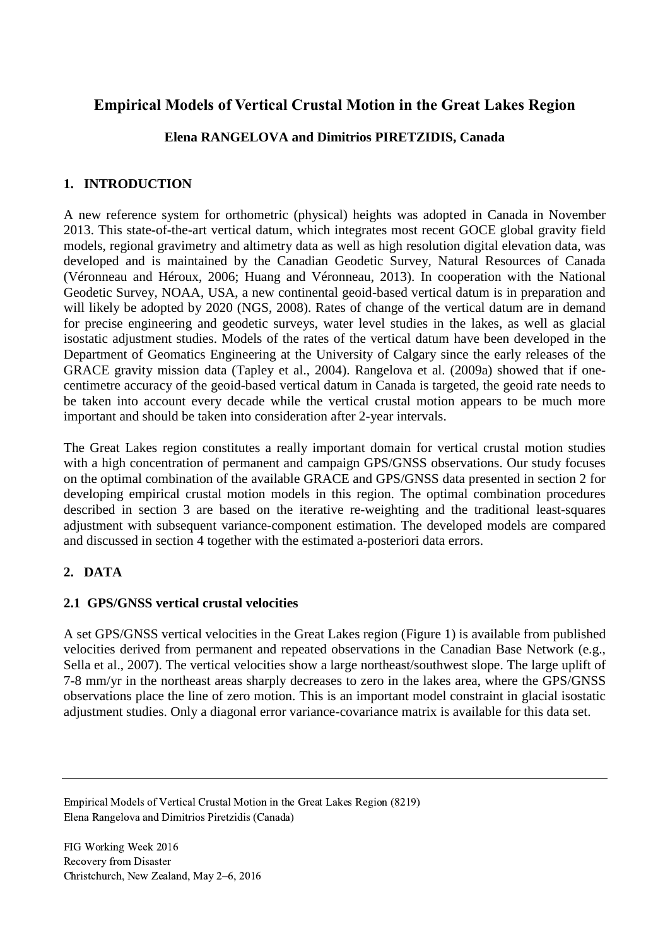# **Empirical Models of Vertical Crustal Motion in the Great Lakes Region**

## **Elena RANGELOVA and Dimitrios PIRETZIDIS, Canada**

## **1. INTRODUCTION**

A new reference system for orthometric (physical) heights was adopted in Canada in November 2013. This state-of-the-art vertical datum, which integrates most recent GOCE global gravity field models, regional gravimetry and altimetry data as well as high resolution digital elevation data, was developed and is maintained by the Canadian Geodetic Survey, Natural Resources of Canada (Véronneau and Héroux, 2006; Huang and Véronneau, 2013). In cooperation with the National Geodetic Survey, NOAA, USA, a new continental geoid-based vertical datum is in preparation and will likely be adopted by 2020 (NGS, 2008). Rates of change of the vertical datum are in demand for precise engineering and geodetic surveys, water level studies in the lakes, as well as glacial isostatic adjustment studies. Models of the rates of the vertical datum have been developed in the Department of Geomatics Engineering at the University of Calgary since the early releases of the GRACE gravity mission data (Tapley et al., 2004). Rangelova et al. (2009a) showed that if onecentimetre accuracy of the geoid-based vertical datum in Canada is targeted, the geoid rate needs to be taken into account every decade while the vertical crustal motion appears to be much more important and should be taken into consideration after 2-year intervals.

The Great Lakes region constitutes a really important domain for vertical crustal motion studies with a high concentration of permanent and campaign GPS/GNSS observations. Our study focuses on the optimal combination of the available GRACE and GPS/GNSS data presented in section 2 for developing empirical crustal motion models in this region. The optimal combination procedures described in section 3 are based on the iterative re-weighting and the traditional least-squares adjustment with subsequent variance-component estimation. The developed models are compared and discussed in section 4 together with the estimated a-posteriori data errors.

# **2. DATA**

### **2.1 GPS/GNSS vertical crustal velocities**

A set GPS/GNSS vertical velocities in the Great Lakes region (Figure 1) is available from published velocities derived from permanent and repeated observations in the Canadian Base Network (e.g., Sella et al., 2007). The vertical velocities show a large northeast/southwest slope. The large uplift of 7-8 mm/yr in the northeast areas sharply decreases to zero in the lakes area, where the GPS/GNSS observations place the line of zero motion. This is an important model constraint in glacial isostatic adjustment studies. Only a diagonal error variance-covariance matrix is available for this data set.

Empirical Models of Vertical Crustal Motion in the Great Lakes Region (8219) Elena Rangelova and Dimitrios Piretzidis (Canada)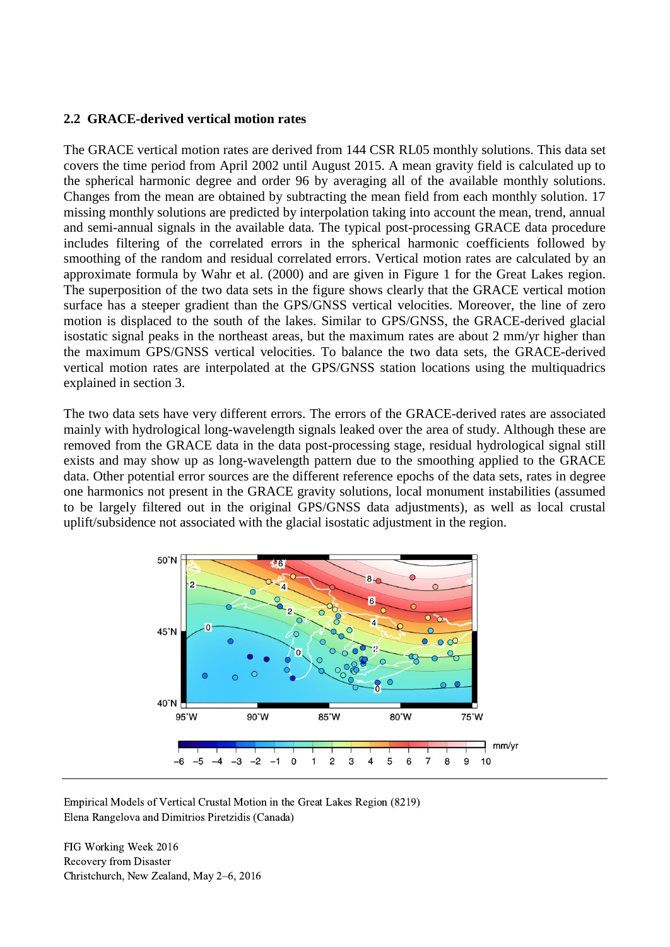#### **2.2 GRACE-derived vertical motion rates**

The GRACE vertical motion rates are derived from 144 CSR RL05 monthly solutions. This data set covers the time period from April 2002 until August 2015. A mean gravity field is calculated up to the spherical harmonic degree and order 96 by averaging all of the available monthly solutions. Changes from the mean are obtained by subtracting the mean field from each monthly solution. 17 missing monthly solutions are predicted by interpolation taking into account the mean, trend, annual and semi-annual signals in the available data. The typical post-processing GRACE data procedure includes filtering of the correlated errors in the spherical harmonic coefficients followed by smoothing of the random and residual correlated errors. Vertical motion rates are calculated by an approximate formula by Wahr et al. (2000) and are given in Figure 1 for the Great Lakes region. The superposition of the two data sets in the figure shows clearly that the GRACE vertical motion surface has a steeper gradient than the GPS/GNSS vertical velocities. Moreover, the line of zero motion is displaced to the south of the lakes. Similar to GPS/GNSS, the GRACE-derived glacial isostatic signal peaks in the northeast areas, but the maximum rates are about 2 mm/yr higher than the maximum GPS/GNSS vertical velocities. To balance the two data sets, the GRACE-derived vertical motion rates are interpolated at the GPS/GNSS station locations using the multiquadrics explained in section 3.

The two data sets have very different errors. The errors of the GRACE-derived rates are associated mainly with hydrological long-wavelength signals leaked over the area of study. Although these are removed from the GRACE data in the data post-processing stage, residual hydrological signal still exists and may show up as long-wavelength pattern due to the smoothing applied to the GRACE data. Other potential error sources are the different reference epochs of the data sets, rates in degree one harmonics not present in the GRACE gravity solutions, local monument instabilities (assumed to be largely filtered out in the original GPS/GNSS data adjustments), as well as local crustal uplift/subsidence not associated with the glacial isostatic adjustment in the region.



Empirical Models of Vertical Crustal Motion in the Great Lakes Region (8219) Elena Rangelova and Dimitrios Piretzidis (Canada)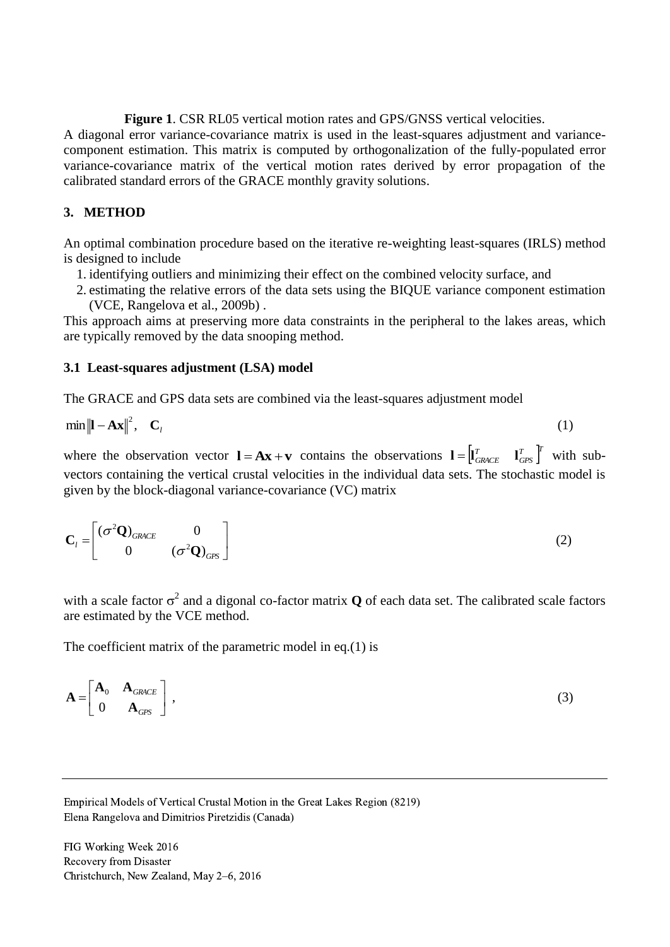**Figure 1**. CSR RL05 vertical motion rates and GPS/GNSS vertical velocities.

A diagonal error variance-covariance matrix is used in the least-squares adjustment and variancecomponent estimation. This matrix is computed by orthogonalization of the fully-populated error variance-covariance matrix of the vertical motion rates derived by error propagation of the calibrated standard errors of the GRACE monthly gravity solutions.

#### **3. METHOD**

An optimal combination procedure based on the iterative re-weighting least-squares (IRLS) method is designed to include

- 1. identifying outliers and minimizing their effect on the combined velocity surface, and
- 2. estimating the relative errors of the data sets using the BIQUE variance component estimation (VCE, Rangelova et al., 2009b) .

This approach aims at preserving more data constraints in the peripheral to the lakes areas, which are typically removed by the data snooping method.

#### **3.1 Least-squares adjustment (LSA) model**

The GRACE and GPS data sets are combined via the least-squares adjustment model

$$
\min \left\| \mathbf{I} - \mathbf{A} \mathbf{x} \right\|^2, \quad \mathbf{C}_l \tag{1}
$$

where the observation vector  $\mathbf{l} = \mathbf{A}\mathbf{x} + \mathbf{v}$  contains the observations  $\mathbf{l} = \begin{bmatrix} l_{\text{GRACE}}^T & l_{\text{GPS}}^T \end{bmatrix}^T$ *GPS*  $I = \begin{bmatrix} I^T & I^T \\ GRACE & I^T_{GPS} \end{bmatrix}$  with subvectors containing the vertical crustal velocities in the individual data sets. The stochastic model is given by the block-diagonal variance-covariance (VC) matrix

$$
\mathbf{C}_l = \begin{bmatrix} (\sigma^2 \mathbf{Q})_{GRACE} & 0 \\ 0 & (\sigma^2 \mathbf{Q})_{GPS} \end{bmatrix}
$$
 (2)

with a scale factor  $\sigma^2$  and a digonal co-factor matrix **Q** of each data set. The calibrated scale factors are estimated by the VCE method.

The coefficient matrix of the parametric model in eq.(1) is

$$
\mathbf{A} = \begin{bmatrix} \mathbf{A}_0 & \mathbf{A}_{GRACE} \\ 0 & \mathbf{A}_{GPS} \end{bmatrix},
$$
 (3)

Empirical Models of Vertical Crustal Motion in the Great Lakes Region (8219) Elena Rangelova and Dimitrios Piretzidis (Canada)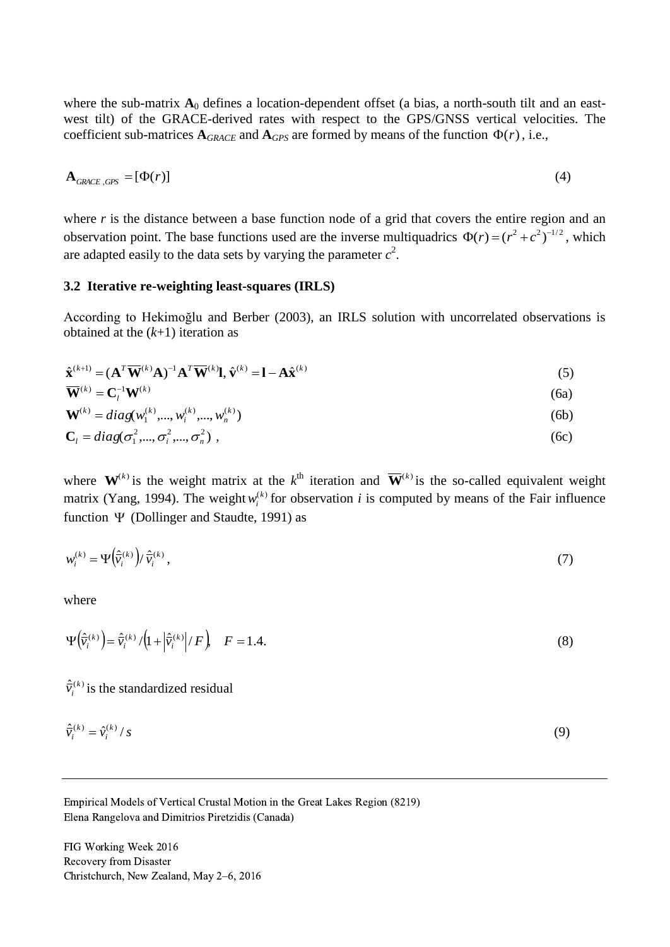where the sub-matrix  $A_0$  defines a location-dependent offset (a bias, a north-south tilt and an eastwest tilt) of the GRACE-derived rates with respect to the GPS/GNSS vertical velocities. The coefficient sub-matrices  $A_{GRACE}$  and  $A_{GPS}$  are formed by means of the function  $\Phi(r)$ , i.e.,

$$
\mathbf{A}_{\text{GRACE},\text{GPS}} = [\Phi(r)] \tag{4}
$$

where  $r$  is the distance between a base function node of a grid that covers the entire region and an observation point. The base functions used are the inverse multiquadrics  $\Phi(r) = (r^2 + c^2)^{-1/2}$ , which are adapted easily to the data sets by varying the parameter  $c^2$ .

#### **3.2 Iterative re-weighting least-squares (IRLS)**

According to Hekimoğlu and Berber (2003), an IRLS solution with uncorrelated observations is obtained at the (*k*+1) iteration as

$$
\hat{\mathbf{x}}^{(k+1)} = (\mathbf{A}^T \overline{\mathbf{W}}^{(k)} \mathbf{A})^{-1} \mathbf{A}^T \overline{\mathbf{W}}^{(k)} \mathbf{l}, \hat{\mathbf{v}}^{(k)} = \mathbf{l} - \mathbf{A} \hat{\mathbf{x}}^{(k)}
$$
(5)

$$
\overline{\mathbf{W}}^{(k)} = \mathbf{C}_l^{-1} \mathbf{W}^{(k)} \tag{6a}
$$

$$
\mathbf{W}^{(k)} = diag(w_1^{(k)}, ..., w_i^{(k)}, ..., w_n^{(k)})
$$
(6b)

$$
\mathbf{C}_l = diag(\sigma_1^2, ..., \sigma_i^2, ..., \sigma_n^2) \tag{6c}
$$

where  $W^{(k)}$  is the weight matrix at the  $k^{\text{th}}$  iteration and  $\overline{W}^{(k)}$  is the so-called equivalent weight matrix (Yang, 1994). The weight  $w_i^{(k)}$  for observation *i* is computed by means of the Fair influence function  $\Psi$  (Dollinger and Staudte, 1991) as

$$
w_i^{(k)} = \Psi\left(\frac{\hat{\mathbf{v}}_i^{(k)}}{V_i}\right) / \hat{\mathbf{v}}_i^{(k)},\tag{7}
$$

where

$$
\Psi\left(\hat{\overline{v}}_i^{(k)}\right) = \hat{\overline{v}}_i^{(k)}/\left(1 + \left|\hat{\overline{v}}_i^{(k)}\right|/F\right), \quad F = 1.4. \tag{8}
$$

 $\frac{\Delta}{V}$ <sub>(k)</sub>  $\hat{v}_i^{(k)}$  is the standardized residual

$$
\hat{\vec{v}}_i^{(k)} = \hat{v}_i^{(k)}/s \tag{9}
$$

Empirical Models of Vertical Crustal Motion in the Great Lakes Region (8219) Elena Rangelova and Dimitrios Piretzidis (Canada)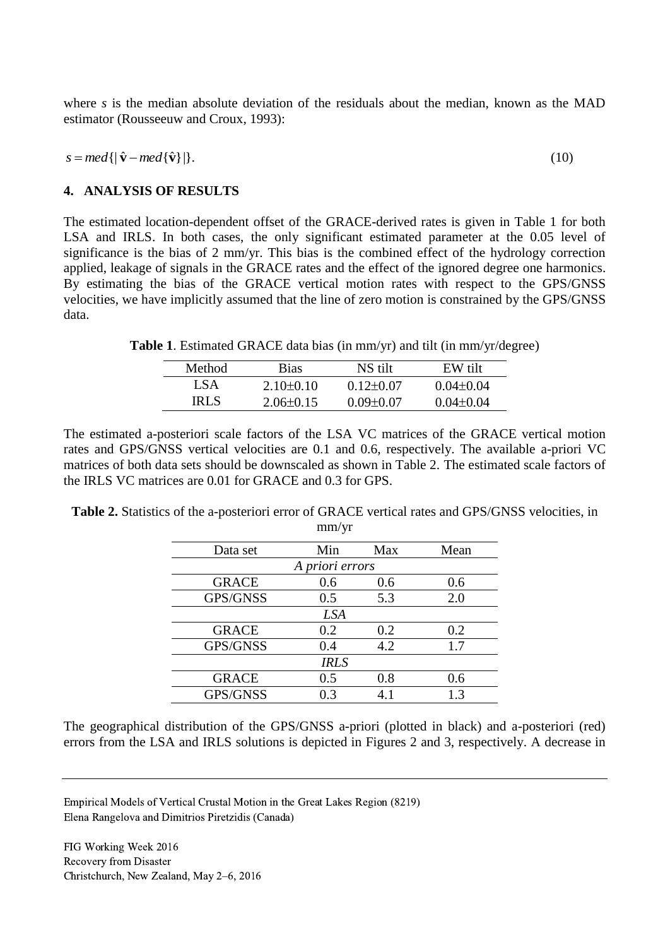where *s* is the median absolute deviation of the residuals about the median, known as the MAD estimator (Rousseeuw and Croux, 1993):

 $s = med\{|\hat{\mathbf{v}} - med\{\hat{\mathbf{v}}\}|\}.$ (10)

#### **4. ANALYSIS OF RESULTS**

The estimated location-dependent offset of the GRACE-derived rates is given in Table 1 for both LSA and IRLS. In both cases, the only significant estimated parameter at the 0.05 level of significance is the bias of 2 mm/yr. This bias is the combined effect of the hydrology correction applied, leakage of signals in the GRACE rates and the effect of the ignored degree one harmonics. By estimating the bias of the GRACE vertical motion rates with respect to the GPS/GNSS velocities, we have implicitly assumed that the line of zero motion is constrained by the GPS/GNSS data.

**Table 1**. Estimated GRACE data bias (in mm/yr) and tilt (in mm/yr/degree)

| Method | Bias          | NS tilt       | EW tilt         |
|--------|---------------|---------------|-----------------|
| LSA    | $2.10+0.10$   | $0.12 + 0.07$ | $0.04 + 0.04$   |
| IRI S  | $2.06\pm0.15$ | $0.09 + 0.07$ | $0.04 \pm 0.04$ |

The estimated a-posteriori scale factors of the LSA VC matrices of the GRACE vertical motion rates and GPS/GNSS vertical velocities are 0.1 and 0.6, respectively. The available a-priori VC matrices of both data sets should be downscaled as shown in Table 2. The estimated scale factors of the IRLS VC matrices are 0.01 for GRACE and 0.3 for GPS.

**Table 2.** Statistics of the a-posteriori error of GRACE vertical rates and GPS/GNSS velocities, in mm/yr

| Data set        | Min | Max | Mean |  |  |
|-----------------|-----|-----|------|--|--|
| A priori errors |     |     |      |  |  |
| <b>GRACE</b>    | 0.6 | 0.6 | 0.6  |  |  |
| GPS/GNSS        | 0.5 | 5.3 | 2.0  |  |  |
| <b>LSA</b>      |     |     |      |  |  |
| <b>GRACE</b>    | 0.2 | 0.2 | 0.2  |  |  |
| GPS/GNSS        | 0.4 | 4.2 | 1.7  |  |  |
| <b>IRLS</b>     |     |     |      |  |  |
| <b>GRACE</b>    | 0.5 | 0.8 | 0.6  |  |  |
| GPS/GNSS        | 0.3 | 4.1 | 13   |  |  |

The geographical distribution of the GPS/GNSS a-priori (plotted in black) and a-posteriori (red) errors from the LSA and IRLS solutions is depicted in Figures 2 and 3, respectively. A decrease in

Empirical Models of Vertical Crustal Motion in the Great Lakes Region (8219) Elena Rangelova and Dimitrios Piretzidis (Canada)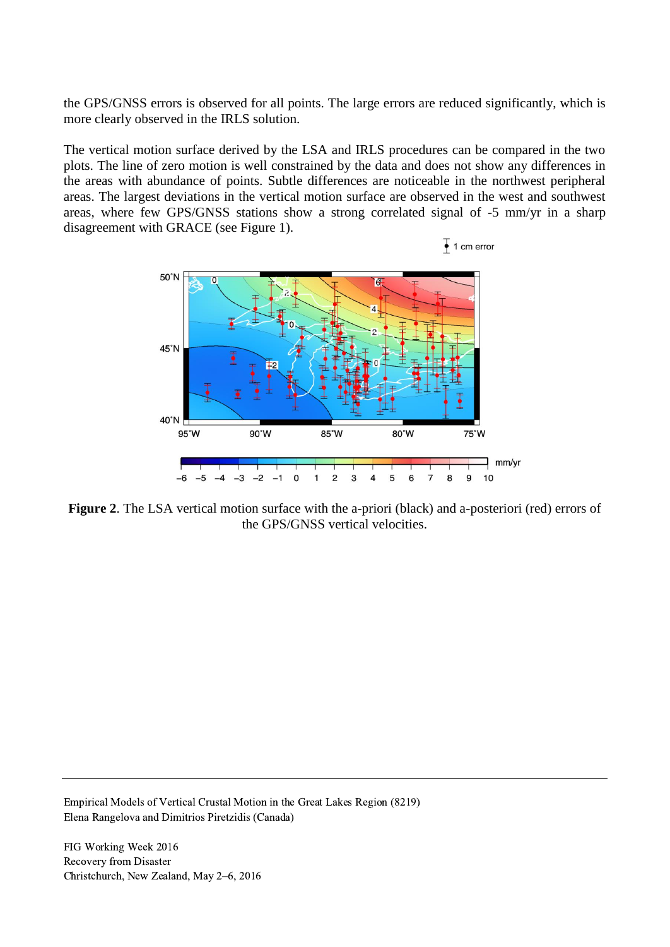the GPS/GNSS errors is observed for all points. The large errors are reduced significantly, which is more clearly observed in the IRLS solution.

The vertical motion surface derived by the LSA and IRLS procedures can be compared in the two plots. The line of zero motion is well constrained by the data and does not show any differences in the areas with abundance of points. Subtle differences are noticeable in the northwest peripheral areas. The largest deviations in the vertical motion surface are observed in the west and southwest areas, where few GPS/GNSS stations show a strong correlated signal of -5 mm/yr in a sharp disagreement with GRACE (see Figure 1).



**Figure 2**. The LSA vertical motion surface with the a-priori (black) and a-posteriori (red) errors of the GPS/GNSS vertical velocities.

Empirical Models of Vertical Crustal Motion in the Great Lakes Region (8219) Elena Rangelova and Dimitrios Piretzidis (Canada)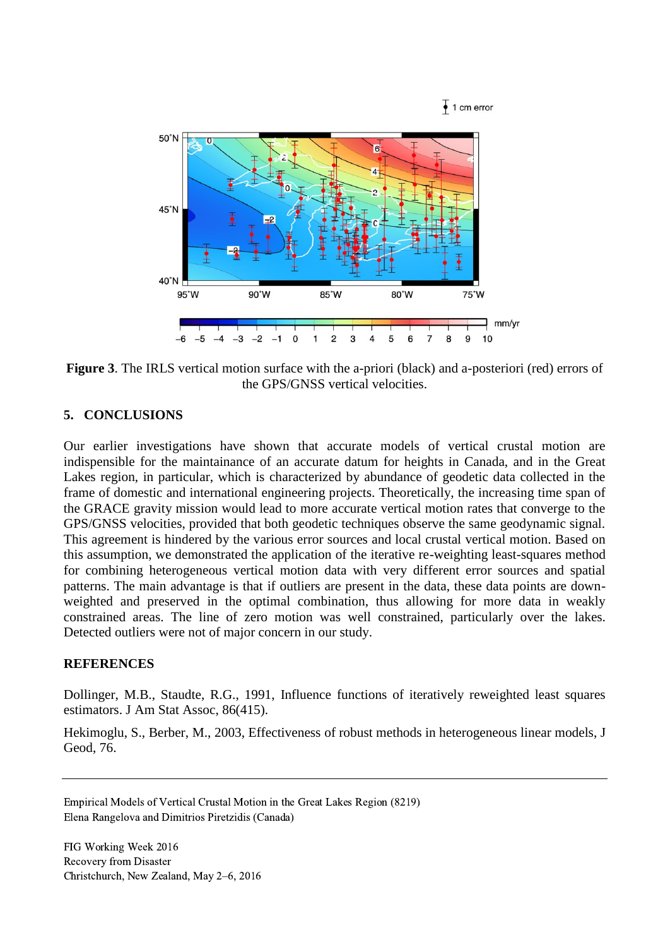

**Figure 3**. The IRLS vertical motion surface with the a-priori (black) and a-posteriori (red) errors of the GPS/GNSS vertical velocities.

### **5. CONCLUSIONS**

Our earlier investigations have shown that accurate models of vertical crustal motion are indispensible for the maintainance of an accurate datum for heights in Canada, and in the Great Lakes region, in particular, which is characterized by abundance of geodetic data collected in the frame of domestic and international engineering projects. Theoretically, the increasing time span of the GRACE gravity mission would lead to more accurate vertical motion rates that converge to the GPS/GNSS velocities, provided that both geodetic techniques observe the same geodynamic signal. This agreement is hindered by the various error sources and local crustal vertical motion. Based on this assumption, we demonstrated the application of the iterative re-weighting least-squares method for combining heterogeneous vertical motion data with very different error sources and spatial patterns. The main advantage is that if outliers are present in the data, these data points are downweighted and preserved in the optimal combination, thus allowing for more data in weakly constrained areas. The line of zero motion was well constrained, particularly over the lakes. Detected outliers were not of major concern in our study.

#### **REFERENCES**

Dollinger, M.B., Staudte, R.G., 1991, Influence functions of iteratively reweighted least squares estimators. J Am Stat Assoc, 86(415).

Hekimoglu, S., Berber, M., 2003, Effectiveness of robust methods in heterogeneous linear models, J Geod, 76.

Empirical Models of Vertical Crustal Motion in the Great Lakes Region (8219) Elena Rangelova and Dimitrios Piretzidis (Canada)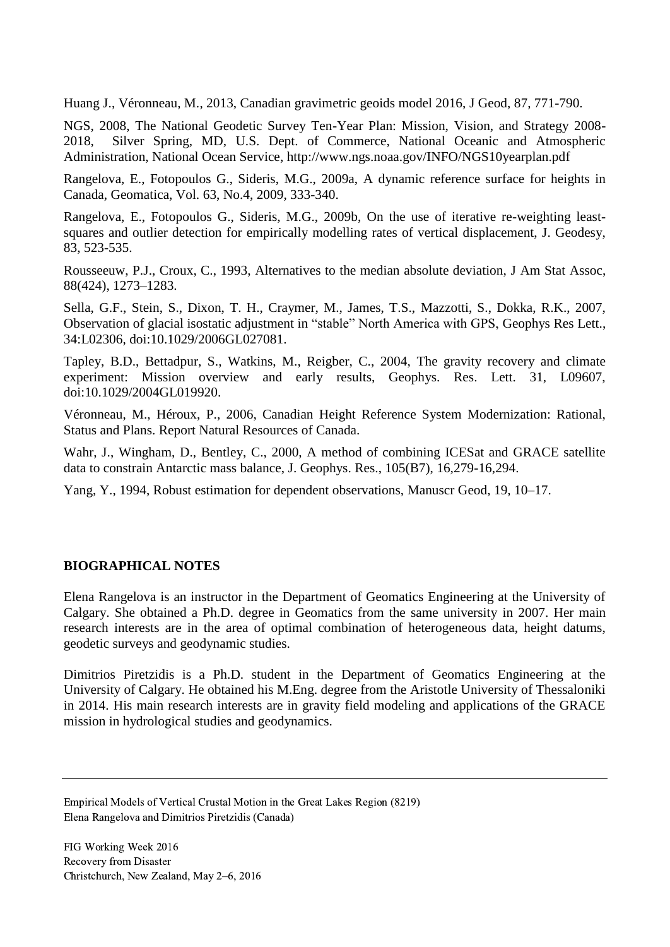Huang J., Véronneau, M., 2013, Canadian gravimetric geoids model 2016, J Geod, 87, 771-790.

NGS, 2008, The National Geodetic Survey Ten-Year Plan: Mission, Vision, and Strategy 2008- 2018, Silver Spring, MD, U.S. Dept. of Commerce, National Oceanic and Atmospheric Administration, National Ocean Service, http://www.ngs.noaa.gov/INFO/NGS10yearplan.pdf

Rangelova, E., Fotopoulos G., Sideris, M.G., 2009a, A dynamic reference surface for heights in Canada, Geomatica, Vol. 63, No.4, 2009, 333-340.

Rangelova, E., Fotopoulos G., Sideris, M.G., 2009b, On the use of iterative re-weighting leastsquares and outlier detection for empirically modelling rates of vertical displacement, J. Geodesy, 83, 523-535.

Rousseeuw, P.J., Croux, C., 1993, Alternatives to the median absolute deviation, J Am Stat Assoc, 88(424), 1273–1283.

Sella, G.F., Stein, S., Dixon, T. H., Craymer, M., James, T.S., Mazzotti, S., Dokka, R.K., 2007, Observation of glacial isostatic adjustment in "stable" North America with GPS, Geophys Res Lett., 34:L02306, doi:10.1029/2006GL027081.

Tapley, B.D., Bettadpur, S., Watkins, M., Reigber, C., 2004, The gravity recovery and climate experiment: Mission overview and early results, Geophys. Res. Lett. 31, L09607, doi:10.1029/2004GL019920.

Véronneau, M., Héroux, P., 2006, Canadian Height Reference System Modernization: Rational, Status and Plans. Report Natural Resources of Canada.

Wahr, J., Wingham, D., Bentley, C., 2000, A method of combining ICESat and GRACE satellite data to constrain Antarctic mass balance, J. Geophys. Res., 105(B7), 16,279-16,294.

Yang, Y., 1994, Robust estimation for dependent observations, Manuscr Geod, 19, 10–17.

### **BIOGRAPHICAL NOTES**

Elena Rangelova is an instructor in the Department of Geomatics Engineering at the University of Calgary. She obtained a Ph.D. degree in Geomatics from the same university in 2007. Her main research interests are in the area of optimal combination of heterogeneous data, height datums, geodetic surveys and geodynamic studies.

Dimitrios Piretzidis is a Ph.D. student in the Department of Geomatics Engineering at the University of Calgary. He obtained his M.Eng. degree from the Aristotle University of Thessaloniki in 2014. His main research interests are in gravity field modeling and applications of the GRACE mission in hydrological studies and geodynamics.

Empirical Models of Vertical Crustal Motion in the Great Lakes Region (8219) Elena Rangelova and Dimitrios Piretzidis (Canada)